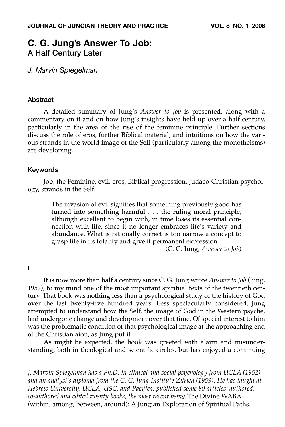# **C. G. Jung's Answer To Job: A Half Century Later**

*J. Marvin Spiegelman*

## **Abstract**

A detailed summary of Jung's *Answer to Job* is presented, along with a commentary on it and on how Jung's insights have held up over a half century, particularly in the area of the rise of the feminine principle. Further sections discuss the role of eros, further Biblical material, and intuitions on how the various strands in the world image of the Self (particularly among the monotheisms) are developing.

# **Keywords**

Job, the Feminine, evil, eros, Biblical progression, Judaeo-Christian psychology, strands in the Self.

The invasion of evil signifies that something previously good has turned into something harmful . . . the ruling moral principle, although excellent to begin with, in time loses its essential connection with life, since it no longer embraces life's variety and abundance. What is rationally correct is too narrow a concept to grasp life in its totality and give it permanent expression.

(C. G. Jung, *Answer to Job*)

## **I**

It is now more than half a century since C. G. Jung wrote *Answer to Job* (Jung, 1952), to my mind one of the most important spiritual texts of the twentieth century. That book was nothing less than a psychological study of the history of God over the last twenty-five hundred years. Less spectacularly considered, Jung attempted to understand how the Self, the image of God in the Western psyche, had undergone change and development over that time. Of special interest to him was the problematic condition of that psychological image at the approaching end of the Christian aion, as Jung put it.

As might be expected, the book was greeted with alarm and misunderstanding, both in theological and scientific circles, but has enjoyed a continuing

*J. Marvin Spiegelman has a Ph.D. in clinical and social psychology from UCLA (1952) and an analyst's diploma from the C. G. Jung Institute Zürich (1959). He has taught at Hebrew University, UCLA, USC, and Pacifica; published some 80 articles; authored, co-authored and edited twenty books, the most recent being* The Divine WABA (within, among, between, around): A Jungian Exploration of Spiritual Paths.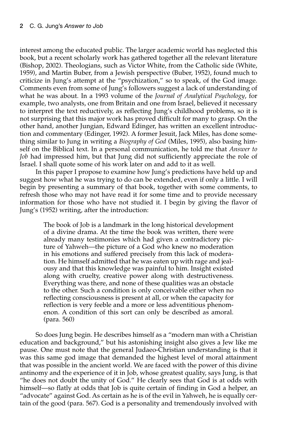interest among the educated public. The larger academic world has neglected this book, but a recent scholarly work has gathered together all the relevant literature (Bishop, 2002). Theologians, such as Victor White, from the Catholic side (White, 1959), and Martin Buber, from a Jewish perspective (Buber, 1952), found much to criticize in Jung's attempt at the "psychization," so to speak, of the God image. Comments even from some of Jung's followers suggest a lack of understanding of what he was about. In a 1993 volume of the *Journal of Analytical Psychology*, for example, two analysts, one from Britain and one from Israel, believed it necessary to interpret the text reductively, as reflecting Jung's childhood problems, so it is not surprising that this major work has proved difficult for many to grasp. On the other hand, another Jungian, Edward Edinger, has written an excellent introduction and commentary (Edinger, 1992). A former Jesuit, Jack Miles, has done something similar to Jung in writing a *Biography of God* (Miles, 1995), also basing himself on the Biblical text. In a personal communication, he told me that *Answer to Job* had impressed him, but that Jung did not sufficiently appreciate the role of Israel. I shall quote some of his work later on and add to it as well.

In this paper I propose to examine how Jung's predictions have held up and suggest how what he was trying to do can be extended, even if only a little. I will begin by presenting a summary of that book, together with some comments, to refresh those who may not have read it for some time and to provide necessary information for those who have not studied it. I begin by giving the flavor of Jung's (1952) writing, after the introduction:

The book of Job is a landmark in the long historical development of a divine drama. At the time the book was written, there were already many testimonies which had given a contradictory picture of Yahweh—the picture of a God who knew no moderation in his emotions and suffered precisely from this lack of moderation. He himself admitted that he was eaten up with rage and jealousy and that this knowledge was painful to him. Insight existed along with cruelty, creative power along with destructiveness. Everything was there, and none of these qualities was an obstacle to the other. Such a condition is only conceivable either when no reflecting consciousness is present at all, or when the capacity for reflection is very feeble and a more or less adventitious phenomenon. A condition of this sort can only be described as amoral. (para. 560)

So does Jung begin. He describes himself as a "modern man with a Christian education and background," but his astonishing insight also gives a Jew like me pause. One must note that the general Judaeo-Christian understanding is that it was this same god image that demanded the highest level of moral attainment that was possible in the ancient world. We are faced with the power of this divine antinomy and the experience of it in Job, whose greatest quality, says Jung, is that "he does not doubt the unity of God." He clearly sees that God is at odds with himself—so flatly at odds that Job is quite certain of finding in God a helper, an "advocate" against God. As certain as he is of the evil in Yahweh, he is equally certain of the good (para. 567). God is a personality and tremendously involved with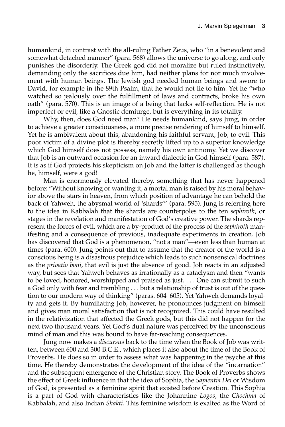humankind, in contrast with the all-ruling Father Zeus, who "in a benevolent and somewhat detached manner" (para. 568) allows the universe to go along, and only punishes the disorderly. The Greek god did not moralize but ruled instinctively, demanding only the sacrifices due him, had neither plans for nor much involvement with human beings. The Jewish god needed human beings and swore to David, for example in the 89th Psalm, that he would not lie to him. Yet he "who watched so jealously over the fulfillment of laws and contracts, broke his own oath" (para. 570). This is an image of a being that lacks self-reflection. He is not imperfect or evil, like a Gnostic demiurge, but is everything in its totality.

Why, then, does God need man? He needs humankind, says Jung, in order to achieve a greater consciousness, a more precise rendering of himself to himself. Yet he is ambivalent about this, abandoning his faithful servant, Job, to evil. This poor victim of a divine plot is thereby secretly lifted up to a superior knowledge which God himself does not possess, namely his own antinomy. Yet we discover that Job is an outward occasion for an inward dialectic in God himself (para. 587). It is as if God projects his skepticism on Job and the latter is challenged as though he, himself, were a god!

Man is enormously elevated thereby, something that has never happened before: "Without knowing or wanting it, a mortal man is raised by his moral behavior above the stars in heaven, from which position of advantage he can behold the back of Yahweh, the abysmal world of 'shards'" (para. 595). Jung is referring here to the idea in Kabbalah that the shards are counterpoles to the ten *sephiroth*, or stages in the revelation and manifestation of God's creative power. The shards represent the forces of evil, which are a by-product of the process of the *sephiroth* manifesting and a consequence of previous, inadequate experiments in creation. Job has discovered that God is a phenomenon, "not a man"—even less than human at times (para. 600). Jung points out that to assume that the creator of the world is a conscious being is a disastrous prejudice which leads to such nonsensical doctrines as the *privatio boni*, that evil is just the absence of good. Job reacts in an adjusted way, but sees that Yahweh behaves as irrationally as a cataclysm and then "wants to be loved, honored, worshipped and praised as just. . . . One can submit to such a God only with fear and trembling . . . but a relationship of trust is out of the question to our modern way of thinking" (paras. 604–605). Yet Yahweh demands loyalty and gets it. By humiliating Job, however, he pronounces judgment on himself and gives man moral satisfaction that is not recognized. This could have resulted in the relativization that affected the Greek gods, but this did not happen for the next two thousand years. Yet God's dual nature was perceived by the unconscious mind of man and this was bound to have far-reaching consequences.

Jung now makes a *discursus* back to the time when the Book of Job was written, between 600 and 300 B.C.E., which places it also about the time of the Book of Proverbs. He does so in order to assess what was happening in the psyche at this time. He thereby demonstrates the development of the idea of the "incarnation" and the subsequent emergence of the Christian story. The Book of Proverbs shows the effect of Greek influence in that the idea of Sophia, the *Sapientia Dei* or Wisdom of God, is presented as a feminine spirit that existed before Creation. This Sophia is a part of God with characteristics like the Johannine *Logos*, the *Chochma* of Kabbalah, and also Indian *Shakti*. This feminine wisdom is exalted as the Word of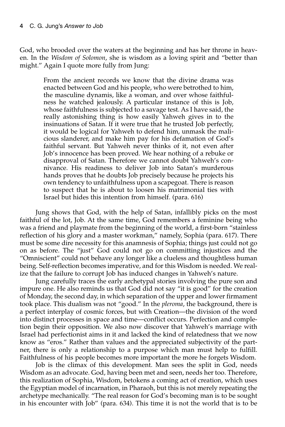God, who brooded over the waters at the beginning and has her throne in heaven. In the *Wisdom of Solomon*, she is wisdom as a loving spirit and "better than might." Again I quote more fully from Jung:

> From the ancient records we know that the divine drama was enacted between God and his people, who were betrothed to him, the masculine dynamis, like a woman, and over whose faithfulness he watched jealously. A particular instance of this is Job, whose faithfulness is subjected to a savage test. As I have said, the really astonishing thing is how easily Yahweh gives in to the insinuations of Satan. If it were true that he trusted Job perfectly, it would be logical for Yahweh to defend him, unmask the malicious slanderer, and make him pay for his defamation of God's faithful servant. But Yahweh never thinks of it, not even after Job's innocence has been proved. We hear nothing of a rebuke or disapproval of Satan. Therefore we cannot doubt Yahweh's connivance. His readiness to deliver Job into Satan's murderous hands proves that he doubts Job precisely because he projects his own tendency to unfaithfulness upon a scapegoat. There is reason to suspect that he is about to loosen his matrimonial ties with Israel but hides this intention from himself. (para. 616)

Jung shows that God, with the help of Satan, infallibly picks on the most faithful of the lot, Job. At the same time, God remembers a feminine being who was a friend and playmate from the beginning of the world, a first-born "stainless reflection of his glory and a master workman," namely, Sophia (para. 617). There must be some dire necessity for this anamnesis of Sophia; things just could not go on as before. The "just" God could not go on committing injustices and the "Omniscient" could not behave any longer like a clueless and thoughtless human being. Self-reflection becomes imperative, and for this Wisdom is needed. We realize that the failure to corrupt Job has induced changes in Yahweh's nature.

Jung carefully traces the early archetypal stories involving the pure son and impure one. He also reminds us that God did not say "it is good" for the creation of Monday, the second day, in which separation of the upper and lower firmament took place. This dualism was not "good." In the *pleroma*, the background, there is a perfect interplay of cosmic forces, but with Creation—the division of the word into distinct processes in space and time—conflict occurs. Perfection and completion begin their opposition. We also now discover that Yahweh's marriage with Israel had perfectionist aims in it and lacked the kind of relatedness that we now know as "eros." Rather than values and the appreciated subjectivity of the partner, there is only a relationship to a purpose which man must help to fulfill. Faithfulness of his people becomes more important the more he forgets Wisdom.

Job is the climax of this development. Man sees the split in God, needs Wisdom as an advocate. God, having been met and seen, needs her too. Therefore, this realization of Sophia, Wisdom, betokens a coming act of creation, which uses the Egyptian model of incarnation, in Pharaoh, but this is not merely repeating the archetype mechanically. "The real reason for God's becoming man is to be sought in his encounter with Job" (para. 634). This time it is not the world that is to be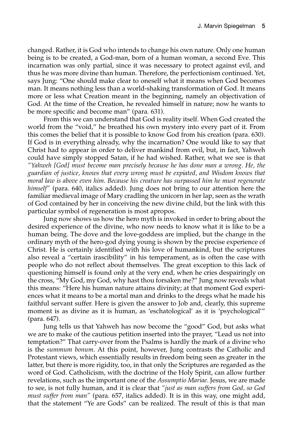changed. Rather, it is God who intends to change his own nature. Only one human being is to be created, a God-man, born of a human woman, a second Eve. This incarnation was only partial, since it was necessary to protect against evil, and thus he was more divine than human. Therefore, the perfectionism continued. Yet, says Jung: "One should make clear to oneself what it means when God becomes man. It means nothing less than a world-shaking transformation of God. It means more or less what Creation meant in the beginning, namely an objectivation of God. At the time of the Creation, he revealed himself in nature; now he wants to be more specific and become man" (para. 631).

From this we can understand that God is reality itself. When God created the world from the "void," he breathed his own mystery into every part of it. From this comes the belief that it is possible to know God from his creation (para. 630). If God is in everything already, why the incarnation? One would like to say that Christ had to appear in order to deliver mankind from evil, but, in fact, Yahweh could have simply stopped Satan, if he had wished. Rather, what we see is that *"Yahweh [God] must become man precisely because he has done man a wrong. He, the guardian of justice, knows that every wrong must be expiated, and Wisdom knows that moral law is above even him. Because his creature has surpassed him he must regenerate himself"* (para. 640, italics added). Jung does not bring to our attention here the familiar medieval image of Mary cradling the unicorn in her lap, seen as the wrath of God contained by her in conceiving the new divine child, but the link with this particular symbol of regeneration is most apropos.

Jung now shows us how the hero myth is invoked in order to bring about the desired experience of the divine, who now needs to know what it is like to be a human being. The dove and the love-goddess are implied, but the change in the ordinary myth of the hero-god dying young is shown by the precise experience of Christ. He is certainly identified with his love of humankind, but the scriptures also reveal a "certain irascibility" in his temperament, as is often the case with people who do not reflect about themselves. The great exception to this lack of questioning himself is found only at the very end, when he cries despairingly on the cross, "My God, my God, why hast thou forsaken me?" Jung now reveals what this means: "Here his human nature attains divinity; at that moment God experiences what it means to be a mortal man and drinks to the dregs what he made his faithful servant suffer. Here is given the answer to Job and, clearly, this supreme moment is as divine as it is human, as 'eschatological' as it is 'psychological'" (para. 647).

Jung tells us that Yahweh has now become the "good" God, but asks what we are to make of the cautious petition inserted into the prayer, "Lead us not into temptation?" That carry-over from the Psalms is hardly the mark of a divine who is the *summum bonum*. At this point, however, Jung contrasts the Catholic and Protestant views, which essentially results in freedom being seen as greater in the latter, but there is more rigidity, too, in that only the Scriptures are regarded as the word of God. Catholicism, with the doctrine of the Holy Spirit, can allow further revelations, such as the important one of the *Assumptio Mariae*. Jesus, we are made to see, is not fully human, and it is clear that *"just as man suffers from God, so God must suffer from man"* (para. 657, italics added). It is in this way, one might add, that the statement "Ye are Gods" can be realized. The result of this is that man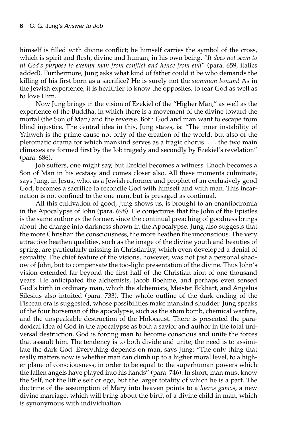himself is filled with divine conflict; he himself carries the symbol of the cross, which is spirit and flesh, divine and human, in his own being. *"It does not seem to fit God's purpose to exempt man from conflict and hence from evil"* (para. 659, italics added). Furthermore, Jung asks what kind of father could it be who demands the killing of his first born as a sacrifice? He is surely not the *summum bonum*! As in the Jewish experience, it is healthier to know the opposites, to fear God as well as to love Him.

Now Jung brings in the vision of Ezekiel of the "Higher Man," as well as the experience of the Buddha, in which there is a movement of the divine toward the mortal (the Son of Man) and the reverse. Both God and man want to escape from blind injustice. The central idea in this, Jung states, is: "The inner instability of Yahweh is the prime cause not only of the creation of the world, but also of the pleromatic drama for which mankind serves as a tragic chorus. . . . the two main climaxes are formed first by the Job tragedy and secondly by Ezekiel's revelation" (para. 686).

Job suffers, one might say, but Ezekiel becomes a witness. Enoch becomes a Son of Man in his ecstasy and comes closer also. All these moments culminate, says Jung, in Jesus, who, as a Jewish reformer and prophet of an exclusively good God, becomes a sacrifice to reconcile God with himself and with man. This incarnation is not confined to the one man, but is presaged as continual.

All this cultivation of good, Jung shows us, is brought to an enantiodromia in the Apocalypse of John (para. 698). He conjectures that the John of the Epistles is the same author as the former, since the continual preaching of goodness brings about the change into darkness shown in the Apocalypse. Jung also suggests that the more Christian the consciousness, the more heathen the unconscious. The very attractive heathen qualities, such as the image of the divine youth and beauties of spring, are particularly missing in Christianity, which even developed a denial of sexuality. The chief feature of the visions, however, was not just a personal shadow of John, but to compensate the too-light presentation of the divine. Thus John's vision extended far beyond the first half of the Christian aion of one thousand years. He anticipated the alchemists, Jacob Boehme, and perhaps even sensed God's birth in ordinary man, which the alchemists, Meister Eckhart, and Angelus Silesius also intuited (para. 733). The whole outline of the dark ending of the Piscean era is suggested, whose possibilities make mankind shudder. Jung speaks of the four horseman of the apocalypse, such as the atom bomb, chemical warfare, and the unspeakable destruction of the Holocaust. There is presented the paradoxical idea of God in the apocalypse as both a savior and author in the total universal destruction. God is forcing man to become conscious and unite the forces that assault him. The tendency is to both divide and unite; the need is to assimilate the dark God. Everything depends on man, says Jung: "The only thing that really matters now is whether man can climb up to a higher moral level, to a higher plane of consciousness, in order to be equal to the superhuman powers which the fallen angels have played into his hands" (para. 746). In short, man must know the Self, not the little self or ego, but the larger totality of which he is a part. The doctrine of the assumption of Mary into heaven points to a *hieros gamos*, a new divine marriage, which will bring about the birth of a divine child in man, which is synonymous with individuation.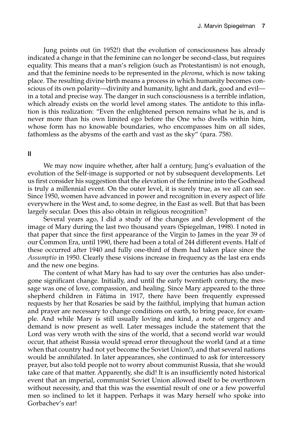Jung points out (in 1952!) that the evolution of consciousness has already indicated a change in that the feminine can no longer be second-class, but requires equality. This means that a man's religion (such as Protestantism) is not enough, and that the feminine needs to be represented in the *pleroma*, which is now taking place. The resulting divine birth means a process in which humanity becomes conscious of its own polarity—divinity and humanity, light and dark, good and evil in a total and precise way. The danger in such consciousness is a terrible inflation, which already exists on the world level among states. The antidote to this inflation is this realization: "Even the enlightened person remains what he is, and is never more than his own limited ego before the One who dwells within him, whose form has no knowable boundaries, who encompasses him on all sides, fathomless as the abysms of the earth and vast as the sky" (para. 758).

## **II**

We may now inquire whether, after half a century, Jung's evaluation of the evolution of the Self-image is supported or not by subsequent developments. Let us first consider his suggestion that the elevation of the feminine into the Godhead is truly a millennial event. On the outer level, it is surely true, as we all can see. Since 1950, women have advanced in power and recognition in every aspect of life everywhere in the West and, to some degree, in the East as well. But that has been largely secular. Does this also obtain in religious recognition?

Several years ago, I did a study of the changes and development of the image of Mary during the last two thousand years (Spiegelman, 1998). I noted in that paper that since the first appearance of the Virgin to James in the year 39 of our Common Era, until 1990, there had been a total of 244 different events. Half of these occurred after 1940 and fully one-third of them had taken place since the *Assumptio* in 1950. Clearly these visions increase in frequency as the last era ends and the new one begins.

The content of what Mary has had to say over the centuries has also undergone significant change. Initially, and until the early twentieth century, the message was one of love, compassion, and healing. Since Mary appeared to the three shepherd children in Fátima in 1917, there have been frequently expressed requests by her that Rosaries be said by the faithful, implying that human action and prayer are necessary to change conditions on earth, to bring peace, for example. And while Mary is still usually loving and kind, a note of urgency and demand is now present as well. Later messages include the statement that the Lord was very wroth with the sins of the world, that a second world war would occur, that atheist Russia would spread error throughout the world (and at a time when that country had not yet become the Soviet Union!), and that several nations would be annihilated. In later appearances, she continued to ask for intercessory prayer, but also told people not to worry about communist Russia, that she would take care of that matter. Apparently, she did! It is an insufficiently noted historical event that an imperial, communist Soviet Union allowed itself to be overthrown without necessity, and that this was the essential result of one or a few powerful men so inclined to let it happen. Perhaps it was Mary herself who spoke into Gorbachev's ear!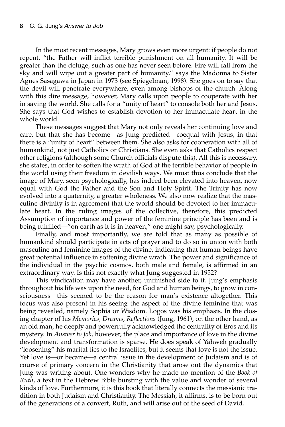In the most recent messages, Mary grows even more urgent: if people do not repent, "the Father will inflict terrible punishment on all humanity. It will be greater than the deluge, such as one has never seen before. Fire will fall from the sky and will wipe out a greater part of humanity," says the Madonna to Sister Agnes Sasagawa in Japan in 1973 (see Spiegelman, 1998). She goes on to say that the devil will penetrate everywhere, even among bishops of the church. Along with this dire message, however, Mary calls upon people to cooperate with her in saving the world. She calls for a "unity of heart" to console both her and Jesus. She says that God wishes to establish devotion to her immaculate heart in the whole world.

These messages suggest that Mary not only reveals her continuing love and care, but that she has become—as Jung predicted—coequal with Jesus, in that there is a "unity of heart" between them. She also asks for cooperation with all of humankind, not just Catholics or Christians. She even asks that Catholics respect other religions (although some Church officials dispute this). All this is necessary, she states, in order to soften the wrath of God at the terrible behavior of people in the world using their freedom in devilish ways. We must thus conclude that the image of Mary, seen psychologically, has indeed been elevated into heaven, now equal with God the Father and the Son and Holy Spirit. The Trinity has now evolved into a quaternity, a greater wholeness. We also now realize that the masculine divinity is in agreement that the world should be devoted to her immaculate heart. In the ruling images of the collective, therefore, this predicted Assumption of importance and power of the feminine principle has been and is being fulfilled—"on earth as it is in heaven," one might say, psychologically.

Finally, and most importantly, we are told that as many as possible of humankind should participate in acts of prayer and to do so in union with both masculine and feminine images of the divine, indicating that human beings have great potential influence in softening divine wrath. The power and significance of the individual in the psychic cosmos, both male and female, is affirmed in an extraordinary way. Is this not exactly what Jung suggested in 1952?

This vindication may have another, unfinished side to it. Jung's emphasis throughout his life was upon the need, for God and human beings, to grow in consciousness—this seemed to be the reason for man's existence altogether. This focus was also present in his seeing the aspect of the divine feminine that was being revealed, namely Sophia or Wisdom. Logos was his emphasis. In the closing chapter of his *Memories, Dreams, Reflections* (Jung, 1961), on the other hand, as an old man, he deeply and powerfully acknowledged the centrality of Eros and its mystery. In *Answer to Job*, however, the place and importance of love in the divine development and transformation is sparse. He does speak of Yahweh gradually "loosening" his marital ties to the Israelites, but it seems that love is not the issue. Yet love is—or became—a central issue in the development of Judaism and is of course of primary concern in the Christianity that arose out the dynamics that Jung was writing about. One wonders why he made no mention of the *Book of Ruth*, a text in the Hebrew Bible bursting with the value and wonder of several kinds of love. Furthermore, it is this book that literally connects the messianic tradition in both Judaism and Christianity. The Messiah, it affirms, is to be born out of the generations of a convert, Ruth, and will arise out of the seed of David.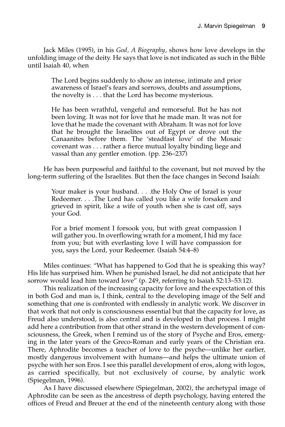Jack Miles (1995), in his *God, A Biography*, shows how love develops in the unfolding image of the deity. He says that love is not indicated as such in the Bible until Isaiah 40, when

The Lord begins suddenly to show an intense, intimate and prior awareness of Israel's fears and sorrows, doubts and assumptions, the novelty is . . . that the Lord has become mysterious.

He has been wrathful, vengeful and remorseful. But he has not been loving. It was not for love that he made man. It was not for love that he made the covenant with Abraham. It was not for love that he brought the Israelites out of Egypt or drove out the Canaanites before them. The 'steadfast love' of the Mosaic covenant was . . . rather a fierce mutual loyalty binding liege and vassal than any gentler emotion. (pp. 236–237)

He has been purposeful and faithful to the covenant, but not moved by the long-term suffering of the Israelites. But then the face changes in Second Isaiah:

Your maker is your husband. . . .the Holy One of Israel is your Redeemer. . . .The Lord has called you like a wife forsaken and grieved in spirit, like a wife of youth when she is cast off, says your God.

For a brief moment I forsook you, but with great compassion I will gather you. In overflowing wrath for a moment, I hid my face from you; but with everlasting love I will have compassion for you, says the Lord, your Redeemer. (Isaiah 54:4–8)

Miles continues: "What has happened to God that he is speaking this way? His life has surprised him. When he punished Israel, he did not anticipate that her sorrow would lead him toward love" (p. 249, referring to Isaiah 52:13–53:12).

This realization of the increasing capacity for love and the expectation of this in both God and man is, I think, central to the developing image of the Self and something that one is confronted with endlessly in analytic work. We discover in that work that not only is consciousness essential but that the capacity for love, as Freud also understood, is also central and is developed in that process. I might add here a contribution from that other strand in the western development of consciousness, the Greek, when I remind us of the story of Psyche and Eros, emerging in the later years of the Greco-Roman and early years of the Christian era. There, Aphrodite becomes a teacher of love to the psyche—unlike her earlier, mostly dangerous involvement with humans—and helps the ultimate union of psyche with her son Eros. I see this parallel development of eros, along with logos, as carried specifically, but not exclusively of course, by analytic work (Spiegelman, 1996).

As I have discussed elsewhere (Spiegelman, 2002), the archetypal image of Aphrodite can be seen as the ancestress of depth psychology, having entered the offices of Freud and Breuer at the end of the nineteenth century along with those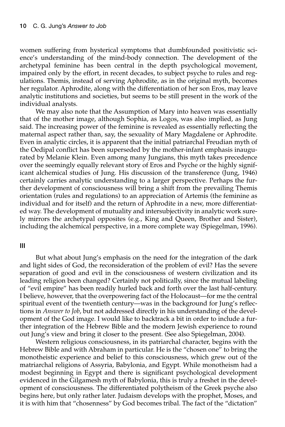women suffering from hysterical symptoms that dumbfounded positivistic science's understanding of the mind-body connection. The development of the archetypal feminine has been central in the depth psychological movement, impaired only by the effort, in recent decades, to subject psyche to rules and regulations. Themis, instead of serving Aphrodite, as in the original myth, becomes her regulator. Aphrodite, along with the differentiation of her son Eros, may leave analytic institutions and societies, but seems to be still present in the work of the individual analysts.

We may also note that the Assumption of Mary into heaven was essentially that of the mother image, although Sophia, as Logos, was also implied, as Jung said. The increasing power of the feminine is revealed as essentially reflecting the maternal aspect rather than, say, the sexuality of Mary Magdalene or Aphrodite. Even in analytic circles, it is apparent that the initial patriarchal Freudian myth of the Oedipal conflict has been superseded by the mother-infant emphasis inaugurated by Melanie Klein. Even among many Jungians, this myth takes precedence over the seemingly equally relevant story of Eros and Psyche or the highly significant alchemical studies of Jung. His discussion of the transference (Jung, 1946) certainly carries analytic understanding to a larger perspective. Perhaps the further development of consciousness will bring a shift from the prevailing Themis orientation (rules and regulations) to an appreciation of Artemis (the feminine as individual and for itself) and the return of Aphrodite in a new, more differentiated way. The development of mutuality and intersubjectivity in analytic work surely mirrors the archetypal opposites (e.g., King and Queen, Brother and Sister), including the alchemical perspective, in a more complete way (Spiegelman, 1996).

#### **III**

But what about Jung's emphasis on the need for the integration of the dark and light sides of God, the reconsideration of the problem of evil? Has the severe separation of good and evil in the consciousness of western civilization and its leading religion been changed? Certainly not politically, since the mutual labeling of "evil empire" has been readily hurled back and forth over the last half-century. I believe, however, that the overpowering fact of the Holocaust—for me the central spiritual event of the twentieth century—was in the background for Jung's reflections in *Answer to Job*, but not addressed directly in his understanding of the development of the God image. I would like to backtrack a bit in order to include a further integration of the Hebrew Bible and the modern Jewish experience to round out Jung's view and bring it closer to the present. (See also Spiegelman, 2004).

Western religious consciousness, in its patriarchal character, begins with the Hebrew Bible and with Abraham in particular. He is the "chosen one" to bring the monotheistic experience and belief to this consciousness, which grew out of the matriarchal religions of Assyria, Babylonia, and Egypt. While monotheism had a modest beginning in Egypt and there is significant psychological development evidenced in the Gilgamesh myth of Babylonia, this is truly a freshet in the development of consciousness. The differentiated polytheism of the Greek psyche also begins here, but only rather later. Judaism develops with the prophet, Moses, and it is with him that "chosenness" by God becomes tribal. The fact of the "dictation"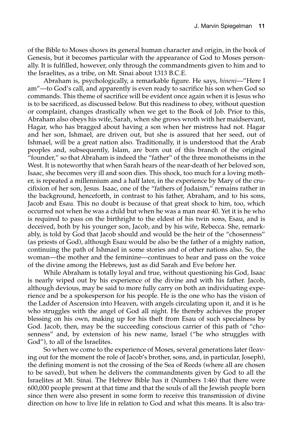of the Bible to Moses shows its general human character and origin, in the book of Genesis, but it becomes particular with the appearance of God to Moses personally. It is fulfilled, however, only through the commandments given to him and to the Israelites, as a tribe, on Mt. Sinai about 1313 B.C.E.

Abraham is, psychologically, a remarkable figure. He says, *hineni*—"Here I am"—to God's call, and apparently is even ready to sacrifice his son when God so commands. This theme of sacrifice will be evident once again when it is Jesus who is to be sacrificed, as discussed below. But this readiness to obey, without question or complaint, changes drastically when we get to the Book of Job. Prior to this, Abraham also obeys his wife, Sarah, when she grows wroth with her maidservant, Hagar, who has bragged about having a son when her mistress had not. Hagar and her son, Ishmael, are driven out, but she is assured that her seed, out of Ishmael, will be a great nation also. Traditionally, it is understood that the Arab peoples and, subsequently, Islam, are born out of this branch of the original "founder," so that Abraham is indeed the "father" of the three monotheisms in the West. It is noteworthy that when Sarah hears of the near-death of her beloved son, Isaac, she becomes very ill and soon dies. This shock, too much for a loving mother, is repeated a millennium and a half later, in the experience by Mary of the crucifixion of her son, Jesus. Isaac, one of the "fathers of Judaism," remains rather in the background, henceforth, in contrast to his father, Abraham, and to his sons, Jacob and Esau. This no doubt is because of that great shock to him, too, which occurred not when he was a child but when he was a man near 40. Yet it is he who is required to pass on the birthright to the eldest of his twin sons, Esau, and is deceived, both by his younger son, Jacob, and by his wife, Rebecca. She, remarkably, is told by God that Jacob should and would be the heir of the "chosenness" (as priests of God), although Esau would be also be the father of a mighty nation, continuing the path of Ishmael in some stories and of other nations also. So, the woman—the mother and the feminine—continues to hear and pass on the voice of the divine among the Hebrews, just as did Sarah and Eve before her.

While Abraham is totally loyal and true, without questioning his God, Isaac is nearly wiped out by his experience of the divine and with his father. Jacob, although devious, may be said to more fully carry on both an individuating experience and be a spokesperson for his people. He is the one who has the vision of the Ladder of Ascension into Heaven, with angels circulating upon it, and it is he who struggles with the angel of God all night. He thereby achieves the proper blessing on his own, making up for his theft from Esau of such specialness by God. Jacob, then, may be the succeeding conscious carrier of this path of "chosenness" and, by extension of his new name, Israel ("he who struggles with God"), to all of the Israelites.

So when we come to the experience of Moses, several generations later (leaving out for the moment the role of Jacob's brother, sons, and, in particular, Joseph), the defining moment is not the crossing of the Sea of Reeds (where all are chosen to be saved), but when he delivers the commandments given by God to all the Israelites at Mt. Sinai. The Hebrew Bible has it (Numbers 1:46) that there were 600,000 people present at that time and that the souls of all the Jewish people born since then were also present in some form to receive this transmission of divine direction on how to live life in relation to God and what this means. It is also tra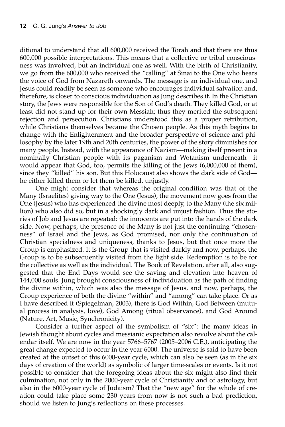ditional to understand that all 600,000 received the Torah and that there are thus 600,000 possible interpretations. This means that a collective or tribal consciousness was involved, but an individual one as well. With the birth of Christianity, we go from the 600,000 who received the "calling" at Sinai to the One who hears the voice of God from Nazareth onwards. The message is an individual one, and Jesus could readily be seen as someone who encourages individual salvation and, therefore, is closer to conscious individuation as Jung describes it. In the Christian story, the Jews were responsible for the Son of God's death. They killed God, or at least did not stand up for their own Messiah; thus they merited the subsequent rejection and persecution. Christians understood this as a proper retribution, while Christians themselves became the Chosen people. As this myth begins to change with the Enlightenment and the broader perspective of science and philosophy by the later 19th and 20th centuries, the power of the story diminishes for many people. Instead, with the appearance of Nazism—making itself present in a nominally Christian people with its paganism and Wotanism underneath—it would appear that God, too, permits the killing of the Jews (6,000,000 of them), since they "killed" his son. But this Holocaust also shows the dark side of God he either killed them or let them be killed, unjustly.

One might consider that whereas the original condition was that of the Many (Israelites) giving way to the One (Jesus), the movement now goes from the One (Jesus) who has experienced the divine most deeply, to the Many (the six million) who also did so, but in a shockingly dark and unjust fashion. Thus the stories of Job and Jesus are repeated: the innocents are put into the hands of the dark side. Now, perhaps, the presence of the Many is not just the continuing "chosenness" of Israel and the Jews, as God promised, nor only the continuation of Christian specialness and uniqueness, thanks to Jesus, but that once more the Group is emphasized. It is the Group that is visited darkly and now, perhaps, the Group is to be subsequently visited from the light side. Redemption is to be for the collective as well as the individual. The Book of Revelation, after all, also suggested that the End Days would see the saving and elevation into heaven of 144,000 souls. Jung brought consciousness of individuation as the path of finding the divine within, which was also the message of Jesus, and now, perhaps, the Group experience of both the divine "within" and "among" can take place. Or as I have described it (Spiegelman, 2003), there is God Within, God Between (mutual process in analysis, love), God Among (ritual observance), and God Around (Nature, Art, Music, Synchronicity).

Consider a further aspect of the symbolism of "six": the many ideas in Jewish thought about cycles and messianic expectation also revolve about the calendar itself. We are now in the year 5766–5767 (2005–2006 C.E.), anticipating the great change expected to occur in the year 6000. The universe is said to have been created at the outset of this 6000-year cycle, which can also be seen (as in the six days of creation of the world) as symbolic of larger time-scales or events. Is it not possible to consider that the foregoing ideas about the six might also find their culmination, not only in the 2000-year cycle of Christianity and of astrology, but also in the 6000-year cycle of Judaism? That the "new age" for the whole of creation could take place some 230 years from now is not such a bad prediction, should we listen to Jung's reflections on these processes.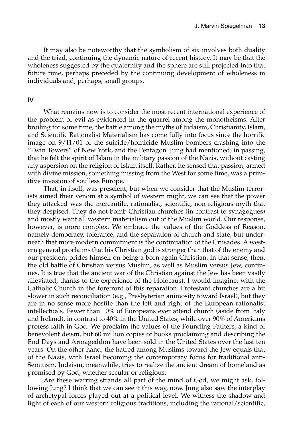It may also be noteworthy that the symbolism of six involves both duality and the triad, continuing the dynamic nature of recent history. It may be that the wholeness suggested by the quaternity and the sphere are still projected into that future time, perhaps preceded by the continuing development of wholeness in individuals and, perhaps, small groups.

#### **IV**

What remains now is to consider the most recent international experience of the problem of evil as evidenced in the quarrel among the monotheisms. After broiling for some time, the battle among the myths of Judaism, Christianity, Islam, and Scientific Rationalist Materialism has come fully into focus since the horrific image on 9/11/01 of the suicide/homicide Muslim bombers crashing into the "Twin Towers" of New York, and the Pentagon. Jung had mentioned, in passing, that he felt the spirit of Islam in the military passion of the Nazis, without casting any aspersion on the religion of Islam itself. Rather, he sensed that passion, armed with divine mission, something missing from the West for some time, was a primitive invasion of soulless Europe.

That, in itself, was prescient, but when we consider that the Muslim terrorists aimed their venom at a symbol of western might, we can see that the power they attacked was the mercantile, rationalist, scientific, non-religious myth that they despised. They do not bomb Christian churches (in contrast to synagogues) and mostly want all western materialism out of the Muslim world. Our response, however, is more complex. We embrace the values of the Goddess of Reason, namely democracy, tolerance, and the separation of church and state, but underneath that more modern commitment is the continuation of the Crusades. A western general proclaims that his Christian god is stronger than that of the enemy and our president prides himself on being a born-again Christian. In that sense, then, the old battle of Christian versus Muslim, as well as Muslim versus Jew, continues. It is true that the ancient war of the Christian against the Jew has been vastly alleviated, thanks to the experience of the Holocaust, I would imagine, with the Catholic Church in the forefront of this reparation. Protestant churches are a bit slower in such reconciliation (e.g., Presbyterian animosity toward Israel), but they are in no sense more hostile than the left and right of the European rationalist intellectuals. Fewer than 10% of Europeans ever attend church (aside from Italy and Ireland), in contrast to 40% in the United States, while over 90% of Americans profess faith in God. We proclaim the values of the Founding Fathers, a kind of benevolent deism, but 60 million copies of books proclaiming and describing the End Days and Armageddon have been sold in the United States over the last ten years. On the other hand, the hatred among Muslims toward the Jew equals that of the Nazis, with Israel becoming the contemporary focus for traditional anti-Semitism. Judaism, meanwhile, tries to realize the ancient dream of homeland as promised by God, whether secular or religious.

Are these warring strands all part of the mind of God, we might ask, following Jung? I think that we can see it this way, now. Jung also saw the interplay of archetypal forces played out at a political level. We witness the shadow and light of each of our western religious traditions, including the rational/scientific,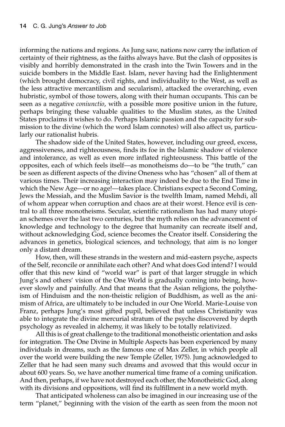informing the nations and regions. As Jung saw, nations now carry the inflation of certainty of their rightness, as the faiths always have. But the clash of opposites is visibly and horribly demonstrated in the crash into the Twin Towers and in the suicide bombers in the Middle East. Islam, never having had the Enlightenment (which brought democracy, civil rights, and individuality to the West, as well as the less attractive mercantilism and secularism), attacked the overarching, even hubristic, symbol of those towers, along with their human occupants. This can be seen as a negative *coniunctio*, with a possible more positive union in the future, perhaps bringing these valuable qualities to the Muslim states, as the United States proclaims it wishes to do. Perhaps Islamic passion and the capacity for submission to the divine (which the word Islam connotes) will also affect us, particularly our rationalist hubris.

The shadow side of the United States, however, including our greed, excess, aggressiveness, and righteousness, finds its foe in the Islamic shadow of violence and intolerance, as well as even more inflated righteousness. This battle of the opposites, each of which feels itself—as monotheisms do—to be "the truth," can be seen as different aspects of the divine Oneness who has "chosen" all of them at various times. Their increasing interaction may indeed be due to the End Time in which the New Age—or no age!—takes place. Christians expect a Second Coming, Jews the Messiah, and the Muslim Savior is the twelfth Imam, named Mehdi, all of whom appear when corruption and chaos are at their worst. Hence evil is central to all three monotheisms. Secular, scientific rationalism has had many utopian schemes over the last two centuries, but the myth relies on the advancement of knowledge and technology to the degree that humanity can recreate itself and, without acknowledging God, science becomes the Creator itself. Considering the advances in genetics, biological sciences, and technology, that aim is no longer only a distant dream.

How, then, will these strands in the western and mid-eastern psyche, aspects of the Self, reconcile or annihilate each other? And what does God intend? I would offer that this new kind of "world war" is part of that larger struggle in which Jung's and others' vision of the One World is gradually coming into being, however slowly and painfully. And that means that the Asian religions, the polytheism of Hinduism and the non-theistic religion of Buddhism, as well as the animism of Africa, are ultimately to be included in our One World. Marie-Louise von Franz, perhaps Jung's most gifted pupil, believed that unless Christianity was able to integrate the divine mercurial stratum of the psyche discovered by depth psychology as revealed in alchemy, it was likely to be totally relativized.

All this is of great challenge to the traditional monotheistic orientation and asks for integration. The One Divine in Multiple Aspects has been experienced by many individuals in dreams, such as the famous one of Max Zeller, in which people all over the world were building the new Temple (Zeller, 1975). Jung acknowledged to Zeller that he had seen many such dreams and avowed that this would occur in about 600 years. So, we have another numerical time frame of a coming unification. And then, perhaps, if we have not destroyed each other, the Monotheistic God, along with its divisions and oppositions, will find its fulfillment in a new world myth.

That anticipated wholeness can also be imagined in our increasing use of the term "planet," beginning with the vision of the earth as seen from the moon not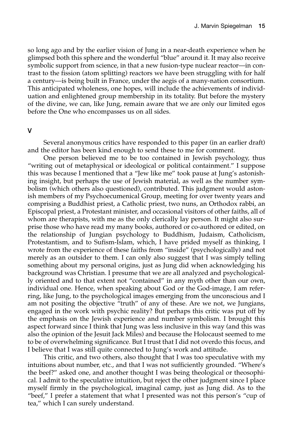so long ago and by the earlier vision of Jung in a near-death experience when he glimpsed both this sphere and the wonderful "blue" around it. It may also receive symbolic support from science, in that a new fusion-type nuclear reactor—in contrast to the fission (atom splitting) reactors we have been struggling with for half a century—is being built in France, under the aegis of a many-nation consortium. This anticipated wholeness, one hopes, will include the achievements of individuation and enlightened group membership in its totality. But before the mystery of the divine, we can, like Jung, remain aware that we are only our limited egos before the One who encompasses us on all sides.

#### **V**

Several anonymous critics have responded to this paper (in an earlier draft) and the editor has been kind enough to send these to me for comment.

One person believed me to be too contained in Jewish psychology, thus "writing out of metaphysical or ideological or political containment." I suppose this was because I mentioned that a "Jew like me" took pause at Jung's astonishing insight, but perhaps the use of Jewish material, as well as the number symbolism (which others also questioned), contributed. This judgment would astonish members of my Psychoecumenical Group, meeting for over twenty years and comprising a Buddhist priest, a Catholic priest, two nuns, an Orthodox rabbi, an Episcopal priest, a Protestant minister, and occasional visitors of other faiths, all of whom are therapists, with me as the only clerically lay person. It might also surprise those who have read my many books, authored or co-authored or edited, on the relationship of Jungian psychology to Buddhism, Judaism, Catholicism, Protestantism, and to Sufism-Islam, which, I have prided myself as thinking, I wrote from the experience of these faiths from "inside" (psychologically) and not merely as an outsider to them. I can only also suggest that I was simply telling something about my personal origins, just as Jung did when acknowledging his background was Christian. I presume that we are all analyzed and psychologically oriented and to that extent not "contained" in any myth other than our own, individual one. Hence, when speaking about God or the God-image, I am referring, like Jung, to the psychological images emerging from the unconscious and I am not positing the objective "truth" of any of these. Are we not, we Jungians, engaged in the work with psychic reality? But perhaps this critic was put off by the emphasis on the Jewish experience and number symbolism. I brought this aspect forward since I think that Jung was less inclusive in this way (and this was also the opinion of the Jesuit Jack Miles) and because the Holocaust seemed to me to be of overwhelming significance. But I trust that I did not overdo this focus, and I believe that I was still quite connected to Jung's work and attitude.

This critic, and two others, also thought that I was too speculative with my intuitions about number, etc., and that I was not sufficiently grounded. "Where's the beef?" asked one, and another thought I was being theological or theosophical. I admit to the speculative intuition, but reject the other judgment since I place myself firmly in the psychological, imaginal camp, just as Jung did. As to the "beef," I prefer a statement that what I presented was not this person's "cup of tea," which I can surely understand.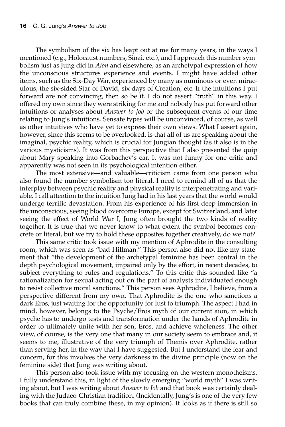The symbolism of the six has leapt out at me for many years, in the ways I mentioned (e.g., Holocaust numbers, Sinai, etc.), and I approach this number symbolism just as Jung did in *Aion* and elsewhere, as an archetypal expression of how the unconscious structures experience and events. I might have added other items, such as the Six-Day War, experienced by many as numinous or even miraculous, the six-sided Star of David, six days of Creation, etc. If the intuitions I put forward are not convincing, then so be it. I do not assert "truth" in this way. I offered my own since they were striking for me and nobody has put forward other intuitions or analyses about *Answer to Job* or the subsequent events of our time relating to Jung's intuitions. Sensate types will be unconvinced, of course, as well as other intuitives who have yet to express their own views. What I assert again, however, since this seems to be overlooked, is that all of us are speaking about the imaginal, psychic reality, which is crucial for Jungian thought (as it also is in the various mysticisms). It was from this perspective that I also presented the quip about Mary speaking into Gorbachev's ear. It was not funny for one critic and apparently was not seen in its psychological intention either.

The most extensive—and valuable—criticism came from one person who also found the number symbolism too literal. I need to remind all of us that the interplay between psychic reality and physical reality is interpenetrating and variable. I call attention to the intuition Jung had in his last years that the world would undergo terrific devastation. From his experience of his first deep immersion in the unconscious, seeing blood overcome Europe, except for Switzerland, and later seeing the effect of World War I, Jung often brought the two kinds of reality together. It is true that we never know to what extent the symbol becomes concrete or literal, but we try to hold these opposites together creatively, do we not?

This same critic took issue with my mention of Aphrodite in the consulting room, which was seen as "bad Hillman." This person also did not like my statement that "the development of the archetypal feminine has been central in the depth psychological movement, impaired only by the effort, in recent decades, to subject everything to rules and regulations." To this critic this sounded like "a rationalization for sexual acting out on the part of analysts individuated enough to resist collective moral sanctions." This person sees Aphrodite, I believe, from a perspective different from my own. That Aphrodite is the one who sanctions a dark Eros, just waiting for the opportunity for lust to triumph. The aspect I had in mind, however, belongs to the Psyche/Eros myth of our current aion, in which psyche has to undergo tests and transformation under the hands of Aphrodite in order to ultimately unite with her son, Eros, and achieve wholeness. The other view, of course, is the very one that many in our society seem to embrace and, it seems to me, illustrative of the very triumph of Themis over Aphrodite, rather than serving her, in the way that I have suggested. But I understand the fear and concern, for this involves the very darkness in the divine principle (now on the feminine side) that Jung was writing about.

This person also took issue with my focusing on the western monotheisms. I fully understand this, in light of the slowly emerging "world myth" I was writing about, but I was writing about *Answer to Job* and that book was certainly dealing with the Judaeo-Christian tradition. (Incidentally, Jung's is one of the very few books that can truly combine these, in my opinion). It looks as if there is still so